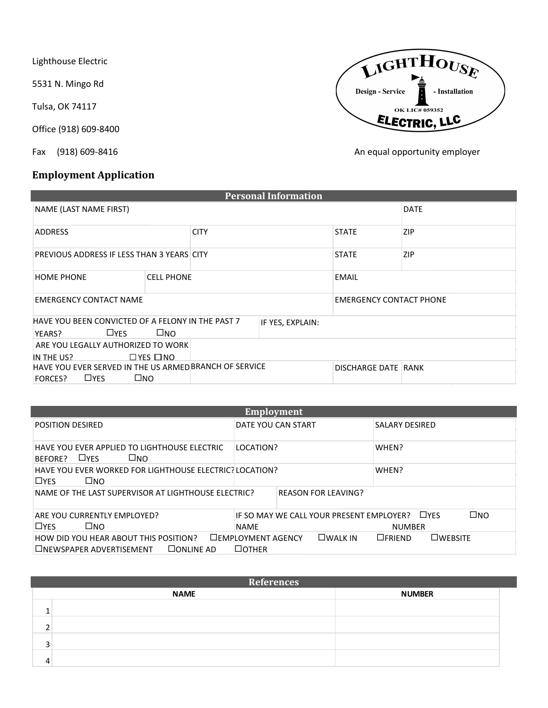Lighthouse Electric

5531 N. Mingo Rd

Tulsa, OK 74117

Office (918) 609-8400

## **Employment Application**



Fax (918) 609-8416 **An equal opportunity employer An equal opportunity employer** 

|                                                                                              |  |  | <b>Personal Information</b> |                                |             |
|----------------------------------------------------------------------------------------------|--|--|-----------------------------|--------------------------------|-------------|
| NAME (LAST NAME FIRST)                                                                       |  |  |                             |                                | <b>DATE</b> |
| <b>CITY</b><br><b>ADDRESS</b>                                                                |  |  |                             | <b>STATE</b>                   | <b>ZIP</b>  |
| PREVIOUS ADDRESS IF LESS THAN 3 YEARS CITY                                                   |  |  |                             | <b>STATE</b>                   | <b>ZIP</b>  |
| <b>HOME PHONE</b><br><b>CELL PHONE</b>                                                       |  |  |                             | <b>EMAIL</b>                   |             |
| <b>EMERGENCY CONTACT NAME</b>                                                                |  |  |                             | <b>EMERGENCY CONTACT PHONE</b> |             |
| HAVE YOU BEEN CONVICTED OF A FELONY IN THE PAST 7<br>$\square$ NO<br>$\square$ YES<br>YEARS? |  |  | IF YES, EXPLAIN:            |                                |             |
| ARE YOU LEGALLY AUTHORIZED TO WORK<br>$\Box$ YES $\Box$ NO<br>IN THE US?                     |  |  |                             |                                |             |
| HAVE YOU EVER SERVED IN THE US ARMED BRANCH OF SERVICE<br>□NO<br>$\square$ YES<br>FORCES?    |  |  | <b>DISCHARGE DATE RANK</b>  |                                |             |

| Employment                                                                               |                                                         |                                             |  |  |  |
|------------------------------------------------------------------------------------------|---------------------------------------------------------|---------------------------------------------|--|--|--|
| POSITION DESIRED                                                                         | DATE YOU CAN START                                      | <b>SALARY DESIRED</b>                       |  |  |  |
| HAVE YOU EVER APPLIED TO LIGHTHOUSE ELECTRIC<br>$\square$ YES<br>$\square$ NO<br>BEFORE? | LOCATION?                                               | WHEN?                                       |  |  |  |
| HAVE YOU EVER WORKED FOR LIGHTHOUSE ELECTRIC? LOCATION?<br>$\square$ YES<br>$\square$ NO |                                                         | WHEN?                                       |  |  |  |
| NAME OF THE LAST SUPERVISOR AT LIGHTHOUSE ELECTRIC?                                      | <b>REASON FOR LEAVING?</b>                              |                                             |  |  |  |
| ARE YOU CURRENTLY EMPLOYED?<br>$\Box$ YFS<br>⊟NΩ                                         | IF SO MAY WE CALL YOUR PRESENT EMPLOYER?<br><b>NAME</b> | $\square$ NO<br>$\Box$ YFS<br><b>NUMBER</b> |  |  |  |
| HOW DID YOU HEAR ABOUT THIS POSITION?<br>□NEWSPAPER ADVERTISEMENT<br>$\square$ ONLINE AD | $\square$ WALK IN<br>□EMPLOYMENT AGENCY<br>$\Box$ OTHER | $\square$ WEBSITE<br>$\Box$ FRIEND          |  |  |  |

|                          | References  |               |  |  |  |  |  |
|--------------------------|-------------|---------------|--|--|--|--|--|
|                          | <b>NAME</b> | <b>NUMBER</b> |  |  |  |  |  |
|                          |             |               |  |  |  |  |  |
| $\overline{\phantom{0}}$ |             |               |  |  |  |  |  |
| $\overline{\mathbf{a}}$  |             |               |  |  |  |  |  |
|                          |             |               |  |  |  |  |  |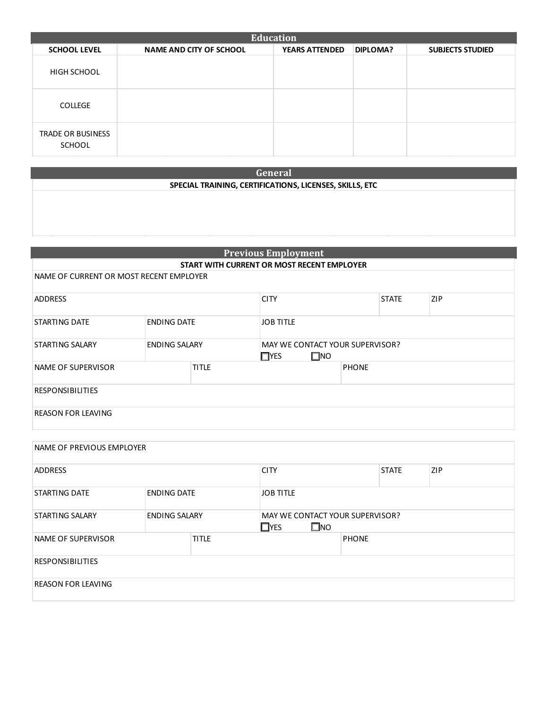| <b>Education</b>                   |                                |                       |          |                         |  |  |  |
|------------------------------------|--------------------------------|-----------------------|----------|-------------------------|--|--|--|
| <b>SCHOOL LEVEL</b>                | <b>NAME AND CITY OF SCHOOL</b> | <b>YEARS ATTENDED</b> | DIPLOMA? | <b>SUBJECTS STUDIED</b> |  |  |  |
| HIGH SCHOOL                        |                                |                       |          |                         |  |  |  |
| <b>COLLEGE</b>                     |                                |                       |          |                         |  |  |  |
| <b>TRADE OR BUSINESS</b><br>SCHOOL |                                |                       |          |                         |  |  |  |

**General** 

## **SPECIAL TRAINING, CERTIFICATIONS, LICENSES, SKILLS, ETC**

| <b>Previous Employment</b>              |                      |  |                                                               |              |  |  |
|-----------------------------------------|----------------------|--|---------------------------------------------------------------|--------------|--|--|
|                                         |                      |  | START WITH CURRENT OR MOST RECENT EMPLOYER                    |              |  |  |
| NAME OF CURRENT OR MOST RECENT EMPLOYER |                      |  |                                                               |              |  |  |
| <b>ADDRESS</b>                          |                      |  | <b>ZIP</b><br><b>CITY</b><br><b>STATE</b>                     |              |  |  |
| <b>STARTING DATE</b>                    | <b>ENDING DATE</b>   |  | <b>JOB TITLE</b>                                              |              |  |  |
| STARTING SALARY                         | <b>ENDING SALARY</b> |  | MAY WE CONTACT YOUR SUPERVISOR?<br>$\square$ NO<br>$\Box$ YES |              |  |  |
| <b>TITLE</b><br>NAME OF SUPERVISOR      |                      |  |                                                               | <b>PHONE</b> |  |  |
| <b>RESPONSIBILITIES</b>                 |                      |  |                                                               |              |  |  |
| <b>REASON FOR LEAVING</b>               |                      |  |                                                               |              |  |  |

| NAME OF PREVIOUS EMPLOYER                  |                      |  |                                                                      |              |              |            |  |
|--------------------------------------------|----------------------|--|----------------------------------------------------------------------|--------------|--------------|------------|--|
| <b>ADDRESS</b>                             |                      |  | <b>CITY</b>                                                          |              | <b>STATE</b> | <b>ZIP</b> |  |
| <b>ENDING DATE</b><br><b>STARTING DATE</b> |                      |  | <b>JOB TITLE</b>                                                     |              |              |            |  |
| <b>STARTING SALARY</b>                     | <b>ENDING SALARY</b> |  | <b>MAY WE CONTACT YOUR SUPERVISOR?</b><br>$\square$ NO<br>$\Box$ YES |              |              |            |  |
| <b>TITLE</b><br>NAME OF SUPERVISOR         |                      |  |                                                                      | <b>PHONE</b> |              |            |  |
| <b>RESPONSIBILITIES</b>                    |                      |  |                                                                      |              |              |            |  |
| <b>REASON FOR LEAVING</b>                  |                      |  |                                                                      |              |              |            |  |